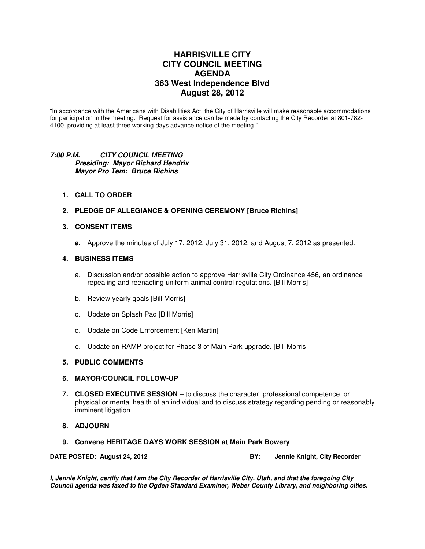# **HARRISVILLE CITY CITY COUNCIL MEETING AGENDA 363 West Independence Blvd August 28, 2012**

"In accordance with the Americans with Disabilities Act, the City of Harrisville will make reasonable accommodations for participation in the meeting. Request for assistance can be made by contacting the City Recorder at 801-782- 4100, providing at least three working days advance notice of the meeting."

## **7:00 P.M. CITY COUNCIL MEETING Presiding: Mayor Richard Hendrix Mayor Pro Tem: Bruce Richins**

- **1. CALL TO ORDER**
- **2. PLEDGE OF ALLEGIANCE & OPENING CEREMONY [Bruce Richins]**

## **3. CONSENT ITEMS**

**a.** Approve the minutes of July 17, 2012, July 31, 2012, and August 7, 2012 as presented.

#### **4. BUSINESS ITEMS**

- a. Discussion and/or possible action to approve Harrisville City Ordinance 456, an ordinance repealing and reenacting uniform animal control regulations. [Bill Morris]
- b. Review yearly goals [Bill Morris]
- c. Update on Splash Pad [Bill Morris]
- d. Update on Code Enforcement [Ken Martin]
- e. Update on RAMP project for Phase 3 of Main Park upgrade. [Bill Morris]

# **5. PUBLIC COMMENTS**

## **6. MAYOR/COUNCIL FOLLOW-UP**

- **7. CLOSED EXECUTIVE SESSION** to discuss the character, professional competence, or physical or mental health of an individual and to discuss strategy regarding pending or reasonably imminent litigation.
- **8. ADJOURN**
- **9. Convene HERITAGE DAYS WORK SESSION at Main Park Bowery**

**DATE POSTED: August 24, 2012 BY: DATE POSTED: August 24, 2012** 

**I, Jennie Knight, certify that I am the City Recorder of Harrisville City, Utah, and that the foregoing City Council agenda was faxed to the Ogden Standard Examiner, Weber County Library, and neighboring cities.**